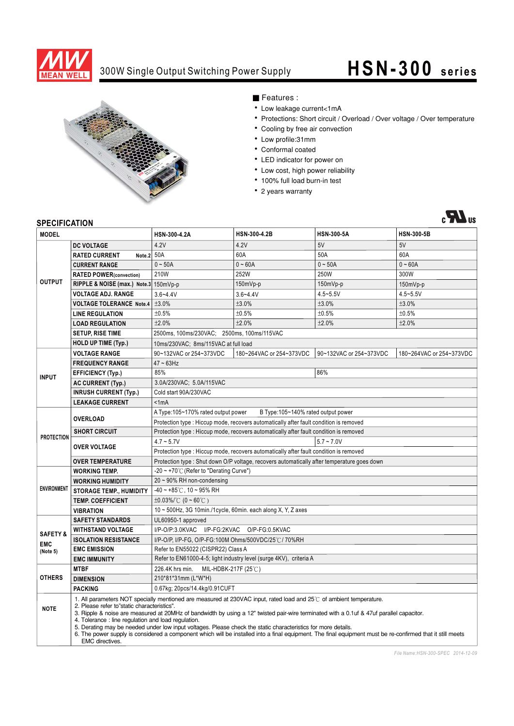

### 300W Single Output Switching Power Supply

# **HSN-300 series**



■ Features :

- Low leakage current<1mA
- Protections: Short circuit / Overload / Over voltage / Over temperature
- Cooling by free air convection
- Low profile:31mm
- Conformal coated
- LED indicator for power on
- Low cost, high power reliability
- · 100% full load burn-in test
- 2 years warranty



#### **SPECIFICATION**

| <b>MODEL</b>                                  |                                                                                                                                                                                                                                                                                                                                                                                                                                                                                                                                                                                                                                                                                | HSN-300-4.2A                                                                                | HSN-300-4.2B                                                                           | <b>HSN-300-5A</b>       | <b>HSN-300-5B</b>        |  |
|-----------------------------------------------|--------------------------------------------------------------------------------------------------------------------------------------------------------------------------------------------------------------------------------------------------------------------------------------------------------------------------------------------------------------------------------------------------------------------------------------------------------------------------------------------------------------------------------------------------------------------------------------------------------------------------------------------------------------------------------|---------------------------------------------------------------------------------------------|----------------------------------------------------------------------------------------|-------------------------|--------------------------|--|
| <b>OUTPUT</b>                                 | <b>DC VOLTAGE</b>                                                                                                                                                                                                                                                                                                                                                                                                                                                                                                                                                                                                                                                              | 4.2V                                                                                        | 4.2V                                                                                   | 5V                      | 5V                       |  |
|                                               | Note. $2 50A$<br><b>RATED CURRENT</b>                                                                                                                                                                                                                                                                                                                                                                                                                                                                                                                                                                                                                                          |                                                                                             | 60A                                                                                    | 50A                     | 60A                      |  |
|                                               | <b>CURRENT RANGE</b>                                                                                                                                                                                                                                                                                                                                                                                                                                                                                                                                                                                                                                                           | $0 \sim 50A$                                                                                | $0 - 60A$                                                                              | $0 - 50A$               | $0 - 60A$                |  |
|                                               | <b>RATED POWER(convection)</b>                                                                                                                                                                                                                                                                                                                                                                                                                                                                                                                                                                                                                                                 | 210W                                                                                        | 252W                                                                                   | 250W                    | 300W                     |  |
|                                               | RIPPLE & NOISE (max.) Note.3 150mVp-p                                                                                                                                                                                                                                                                                                                                                                                                                                                                                                                                                                                                                                          |                                                                                             | 150mVp-p                                                                               | 150mVp-p                | 150mVp-p                 |  |
|                                               | <b>VOLTAGE ADJ. RANGE</b>                                                                                                                                                                                                                                                                                                                                                                                                                                                                                                                                                                                                                                                      | $3.6 - 4.4V$                                                                                | $3.6 - 4.4V$                                                                           | $4.5 - 5.5V$            | $4.5 - 5.5V$             |  |
|                                               | <b>VOLTAGE TOLERANCE Note.4</b>                                                                                                                                                                                                                                                                                                                                                                                                                                                                                                                                                                                                                                                | ±3.0%                                                                                       | ±3.0%                                                                                  | ±3.0%                   | ±3.0%                    |  |
|                                               | <b>LINE REGULATION</b>                                                                                                                                                                                                                                                                                                                                                                                                                                                                                                                                                                                                                                                         | ±0.5%                                                                                       | ±0.5%                                                                                  | ±0.5%                   | ±0.5%                    |  |
|                                               | <b>LOAD REGULATION</b>                                                                                                                                                                                                                                                                                                                                                                                                                                                                                                                                                                                                                                                         | ±2.0%                                                                                       | ±2.0%                                                                                  | ±2.0%                   | ±2.0%                    |  |
|                                               | <b>SETUP, RISE TIME</b>                                                                                                                                                                                                                                                                                                                                                                                                                                                                                                                                                                                                                                                        | 2500ms, 100ms/230VAC; 2500ms, 100ms/115VAC                                                  |                                                                                        |                         |                          |  |
|                                               | <b>HOLD UP TIME (Typ.)</b>                                                                                                                                                                                                                                                                                                                                                                                                                                                                                                                                                                                                                                                     | 10ms/230VAC; 8ms/115VAC at full load                                                        |                                                                                        |                         |                          |  |
| <b>INPUT</b>                                  | <b>VOLTAGE RANGE</b>                                                                                                                                                                                                                                                                                                                                                                                                                                                                                                                                                                                                                                                           | 90~132VAC or 254~373VDC                                                                     | 180~264VAC or 254~373VDC                                                               | 90~132VAC or 254~373VDC | 180~264VAC or 254~373VDC |  |
|                                               | <b>FREQUENCY RANGE</b>                                                                                                                                                                                                                                                                                                                                                                                                                                                                                                                                                                                                                                                         | $47 \sim 63$ Hz                                                                             |                                                                                        |                         |                          |  |
|                                               | <b>EFFICIENCY (Typ.)</b>                                                                                                                                                                                                                                                                                                                                                                                                                                                                                                                                                                                                                                                       | 85%                                                                                         |                                                                                        | 86%                     |                          |  |
|                                               | <b>AC CURRENT (Typ.)</b>                                                                                                                                                                                                                                                                                                                                                                                                                                                                                                                                                                                                                                                       | 3.0A/230VAC; 5.0A/115VAC                                                                    |                                                                                        |                         |                          |  |
|                                               | <b>INRUSH CURRENT (Typ.)</b>                                                                                                                                                                                                                                                                                                                                                                                                                                                                                                                                                                                                                                                   | Cold start 90A/230VAC                                                                       |                                                                                        |                         |                          |  |
|                                               | <b>LEAKAGE CURRENT</b>                                                                                                                                                                                                                                                                                                                                                                                                                                                                                                                                                                                                                                                         | < 1mA                                                                                       |                                                                                        |                         |                          |  |
| <b>PROTECTION</b>                             |                                                                                                                                                                                                                                                                                                                                                                                                                                                                                                                                                                                                                                                                                | A Type: 105~170% rated output power<br>B Type: 105~140% rated output power                  |                                                                                        |                         |                          |  |
|                                               | <b>OVERLOAD</b>                                                                                                                                                                                                                                                                                                                                                                                                                                                                                                                                                                                                                                                                |                                                                                             | Protection type : Hiccup mode, recovers automatically after fault condition is removed |                         |                          |  |
|                                               | <b>SHORT CIRCUIT</b>                                                                                                                                                                                                                                                                                                                                                                                                                                                                                                                                                                                                                                                           | Protection type : Hiccup mode, recovers automatically after fault condition is removed      |                                                                                        |                         |                          |  |
|                                               | <b>OVER VOLTAGE</b>                                                                                                                                                                                                                                                                                                                                                                                                                                                                                                                                                                                                                                                            | $4.7 - 5.7V$<br>$5.7 - 7.0V$                                                                |                                                                                        |                         |                          |  |
|                                               |                                                                                                                                                                                                                                                                                                                                                                                                                                                                                                                                                                                                                                                                                | Protection type : Hiccup mode, recovers automatically after fault condition is removed      |                                                                                        |                         |                          |  |
|                                               | <b>OVER TEMPERATURE</b>                                                                                                                                                                                                                                                                                                                                                                                                                                                                                                                                                                                                                                                        | Protection type : Shut down O/P voltage, recovers automatically after temperature goes down |                                                                                        |                         |                          |  |
| <b>ENVIRONMENT</b>                            | <b>WORKING TEMP.</b>                                                                                                                                                                                                                                                                                                                                                                                                                                                                                                                                                                                                                                                           | $-20 \sim +70^{\circ}$ (Refer to "Derating Curve")                                          |                                                                                        |                         |                          |  |
|                                               | <b>WORKING HUMIDITY</b>                                                                                                                                                                                                                                                                                                                                                                                                                                                                                                                                                                                                                                                        | 20~90% RH non-condensing                                                                    |                                                                                        |                         |                          |  |
|                                               | <b>STORAGE TEMP., HUMIDITY</b>                                                                                                                                                                                                                                                                                                                                                                                                                                                                                                                                                                                                                                                 | $-40 \sim +85^{\circ}$ C, 10 ~ 95% RH                                                       |                                                                                        |                         |                          |  |
|                                               | <b>TEMP. COEFFICIENT</b>                                                                                                                                                                                                                                                                                                                                                                                                                                                                                                                                                                                                                                                       | $\pm 0.03\%$ (0 ~ 60°C)                                                                     |                                                                                        |                         |                          |  |
|                                               | <b>VIBRATION</b>                                                                                                                                                                                                                                                                                                                                                                                                                                                                                                                                                                                                                                                               | 10 ~ 500Hz, 3G 10min./1cycle, 60min. each along X, Y, Z axes                                |                                                                                        |                         |                          |  |
| <b>SAFETY &amp;</b><br><b>EMC</b><br>(Note 5) | <b>SAFETY STANDARDS</b>                                                                                                                                                                                                                                                                                                                                                                                                                                                                                                                                                                                                                                                        | UL60950-1 approved                                                                          |                                                                                        |                         |                          |  |
|                                               | <b>WITHSTAND VOLTAGE</b>                                                                                                                                                                                                                                                                                                                                                                                                                                                                                                                                                                                                                                                       | I/P-O/P:3.0KVAC I/P-FG:2KVAC O/P-FG:0.5KVAC                                                 |                                                                                        |                         |                          |  |
|                                               | <b>ISOLATION RESISTANCE</b><br><b>EMC EMISSION</b>                                                                                                                                                                                                                                                                                                                                                                                                                                                                                                                                                                                                                             | I/P-O/P, I/P-FG, O/P-FG:100M Ohms/500VDC/25°C/70%RH                                         |                                                                                        |                         |                          |  |
|                                               |                                                                                                                                                                                                                                                                                                                                                                                                                                                                                                                                                                                                                                                                                | Refer to EN55022 (CISPR22) Class A                                                          |                                                                                        |                         |                          |  |
|                                               | <b>EMC IMMUNITY</b><br><b>MTBF</b>                                                                                                                                                                                                                                                                                                                                                                                                                                                                                                                                                                                                                                             | Refer to EN61000-4-5; light industry level (surge 4KV), criteria A                          |                                                                                        |                         |                          |  |
| <b>OTHERS</b>                                 |                                                                                                                                                                                                                                                                                                                                                                                                                                                                                                                                                                                                                                                                                | 226.4K hrs min.<br>MIL-HDBK-217F (25℃)<br>210*81*31mm (L*W*H)                               |                                                                                        |                         |                          |  |
|                                               | <b>DIMENSION</b><br><b>PACKING</b>                                                                                                                                                                                                                                                                                                                                                                                                                                                                                                                                                                                                                                             | 0.67kg; 20pcs/14.4kg/0.91CUFT                                                               |                                                                                        |                         |                          |  |
|                                               |                                                                                                                                                                                                                                                                                                                                                                                                                                                                                                                                                                                                                                                                                |                                                                                             |                                                                                        |                         |                          |  |
| <b>NOTE</b>                                   | 1. All parameters NOT specially mentioned are measured at 230VAC input, rated load and 25°C of ambient temperature.<br>2. Please refer to"static characteristics".<br>3. Ripple & noise are measured at 20MHz of bandwidth by using a 12" twisted pair-wire terminated with a 0.1uf & 47uf parallel capacitor.<br>4. Tolerance : line regulation and load regulation.<br>5. Derating may be needed under low input voltages. Please check the static characteristics for more details.<br>6. The power supply is considered a component which will be installed into a final equipment. The final equipment must be re-confirmed that it still meets<br><b>EMC</b> directives. |                                                                                             |                                                                                        |                         |                          |  |

*File Name:HSN-300-SPEC 2014-12-09*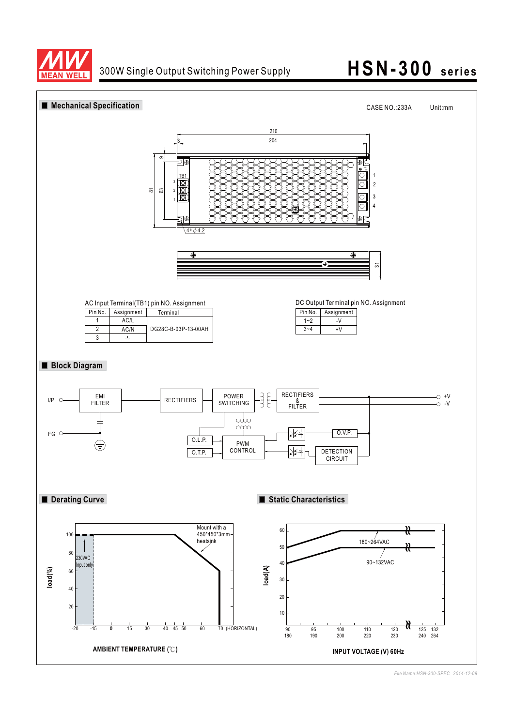

## **HSN-300 series**